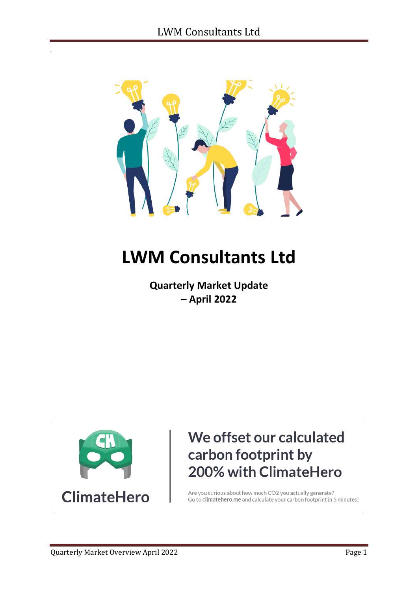

# **LWM Consultants Ltd**

**Quarterly Market Update – April 2022**



# We offset our calculated carbon footprint by 200% with ClimateHero

Are you curious about how much CO2 you actually generate? Go to climatehero.me and calculate your carbon footprint in 5 minutes!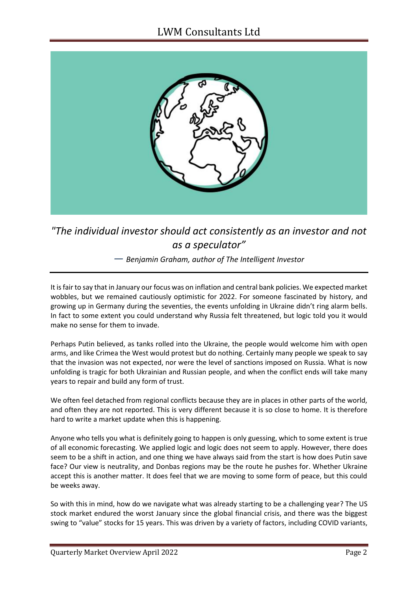

*"The individual investor should act consistently as an investor and not as a speculator"* 

*― Benjamin Graham, author of The Intelligent Investor*

It is fair to say that in January our focus was on inflation and central bank policies. We expected market wobbles, but we remained cautiously optimistic for 2022. For someone fascinated by history, and growing up in Germany during the seventies, the events unfolding in Ukraine didn't ring alarm bells. In fact to some extent you could understand why Russia felt threatened, but logic told you it would make no sense for them to invade.

Perhaps Putin believed, as tanks rolled into the Ukraine, the people would welcome him with open arms, and like Crimea the West would protest but do nothing. Certainly many people we speak to say that the invasion was not expected, nor were the level of sanctions imposed on Russia. What is now unfolding is tragic for both Ukrainian and Russian people, and when the conflict ends will take many years to repair and build any form of trust.

We often feel detached from regional conflicts because they are in places in other parts of the world, and often they are not reported. This is very different because it is so close to home. It is therefore hard to write a market update when this is happening.

Anyone who tells you what is definitely going to happen is only guessing, which to some extent is true of all economic forecasting. We applied logic and logic does not seem to apply. However, there does seem to be a shift in action, and one thing we have always said from the start is how does Putin save face? Our view is neutrality, and Donbas regions may be the route he pushes for. Whether Ukraine accept this is another matter. It does feel that we are moving to some form of peace, but this could be weeks away.

So with this in mind, how do we navigate what was already starting to be a challenging year? The US stock market endured the worst January since the global financial crisis, and there was the biggest swing to "value" stocks for 15 years. This was driven by a variety of factors, including COVID variants,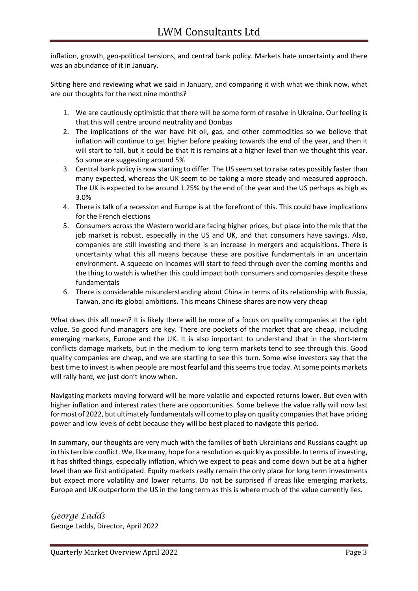inflation, growth, geo-political tensions, and central bank policy. Markets hate uncertainty and there was an abundance of it in January.

Sitting here and reviewing what we said in January, and comparing it with what we think now, what are our thoughts for the next nine months?

- 1. We are cautiously optimistic that there will be some form of resolve in Ukraine. Our feeling is that this will centre around neutrality and Donbas
- 2. The implications of the war have hit oil, gas, and other commodities so we believe that inflation will continue to get higher before peaking towards the end of the year, and then it will start to fall, but it could be that it is remains at a higher level than we thought this year. So some are suggesting around 5%
- 3. Central bank policy is now starting to differ. The US seem set to raise rates possibly faster than many expected, whereas the UK seem to be taking a more steady and measured approach. The UK is expected to be around 1.25% by the end of the year and the US perhaps as high as 3.0%
- 4. There is talk of a recession and Europe is at the forefront of this. This could have implications for the French elections
- 5. Consumers across the Western world are facing higher prices, but place into the mix that the job market is robust, especially in the US and UK, and that consumers have savings. Also, companies are still investing and there is an increase in mergers and acquisitions. There is uncertainty what this all means because these are positive fundamentals in an uncertain environment. A squeeze on incomes will start to feed through over the coming months and the thing to watch is whether this could impact both consumers and companies despite these fundamentals
- 6. There is considerable misunderstanding about China in terms of its relationship with Russia, Taiwan, and its global ambitions. This means Chinese shares are now very cheap

What does this all mean? It is likely there will be more of a focus on quality companies at the right value. So good fund managers are key. There are pockets of the market that are cheap, including emerging markets, Europe and the UK. It is also important to understand that in the short-term conflicts damage markets, but in the medium to long term markets tend to see through this. Good quality companies are cheap, and we are starting to see this turn. Some wise investors say that the best time to invest is when people are most fearful and this seems true today. At some points markets will rally hard, we just don't know when.

Navigating markets moving forward will be more volatile and expected returns lower. But even with higher inflation and interest rates there are opportunities. Some believe the value rally will now last for most of 2022, but ultimately fundamentals will come to play on quality companies that have pricing power and low levels of debt because they will be best placed to navigate this period.

In summary, our thoughts are very much with the families of both Ukrainians and Russians caught up in this terrible conflict. We, like many, hope for a resolution as quickly as possible. In terms of investing, it has shifted things, especially inflation, which we expect to peak and come down but be at a higher level than we first anticipated. Equity markets really remain the only place for long term investments but expect more volatility and lower returns. Do not be surprised if areas like emerging markets, Europe and UK outperform the US in the long term as this is where much of the value currently lies.

*George Ladds* George Ladds, Director, April 2022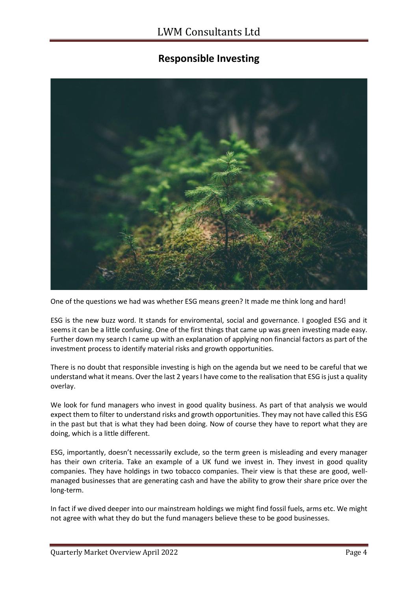## **Responsible Investing**



One of the questions we had was whether ESG means green? It made me think long and hard!

ESG is the new buzz word. It stands for enviromental, social and governance. I googled ESG and it seems it can be a little confusing. One of the first things that came up was green investing made easy. Further down my search I came up with an explanation of applying non financial factors as part of the investment process to identify material risks and growth opportunities.

There is no doubt that responsible investing is high on the agenda but we need to be careful that we understand what it means. Over the last 2 years I have come to the realisation that ESG is just a quality overlay.

We look for fund managers who invest in good quality business. As part of that analysis we would expect them to filter to understand risks and growth opportunities. They may not have called this ESG in the past but that is what they had been doing. Now of course they have to report what they are doing, which is a little different.

ESG, importantly, doesn't necesssarily exclude, so the term green is misleading and every manager has their own criteria. Take an example of a UK fund we invest in. They invest in good quality companies. They have holdings in two tobacco companies. Their view is that these are good, wellmanaged businesses that are generating cash and have the ability to grow their share price over the long-term.

In fact if we dived deeper into our mainstream holdings we might find fossil fuels, arms etc. We might not agree with what they do but the fund managers believe these to be good businesses.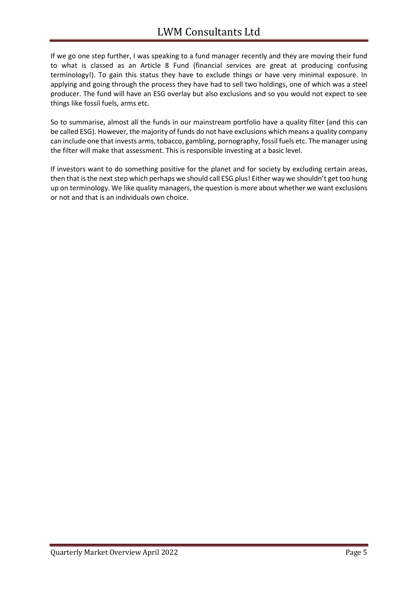If we go one step further, I was speaking to a fund manager recently and they are moving their fund to what is classed as an Article 8 Fund (financial services are great at producing confusing terminology!). To gain this status they have to exclude things or have very minimal exposure. In applying and going through the process they have had to sell two holdings, one of which was a steel producer. The fund will have an ESG overlay but also exclusions and so you would not expect to see things like fossil fuels, arms etc.

So to summarise, almost all the funds in our mainstream portfolio have a quality filter (and this can be called ESG). However, the majority of funds do not have exclusions which means a quality company can include one that invests arms, tobacco, gambling, pornography, fossil fuels etc. The manager using the filter will make that assessment. This is responsible investing at a basic level.

If investors want to do something positive for the planet and for society by excluding certain areas, then that is the next step which perhaps we should call ESG plus! Either way we shouldn't get too hung up on terminology. We like quality managers, the question is more about whether we want exclusions or not and that is an individuals own choice.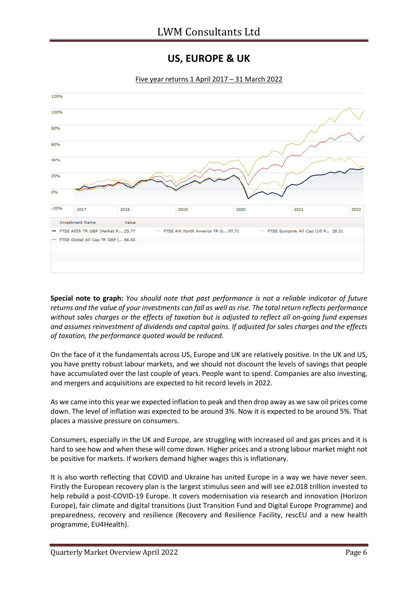#### **US, EUROPE & UK**



Five year returns 1 April 2017 – 31 March 2022

**Special note to graph:** *You should note that past performance is not a reliable indicator of future returns and the value of your investments can fall as well as rise. The total return reflects performance without sales charges or the effects of taxation but is adjusted to reflect all on-going fund expenses and assumes reinvestment of dividends and capital gains. If adjusted for sales charges and the effects of taxation, the performance quoted would be reduced.*

On the face of it the fundamentals across US, Europe and UK are relatively positive. In the UK and US, you have pretty robust labour markets, and we should not discount the levels of savings that people have accumulated over the last couple of years. People want to spend. Companies are also investing, and mergers and acquisitions are expected to hit record levels in 2022.

As we came into this year we expected inflation to peak and then drop away as we saw oil prices come down. The level of inflation was expected to be around 3%. Now it is expected to be around 5%. That places a massive pressure on consumers.

Consumers, especially in the UK and Europe, are struggling with increased oil and gas prices and it is hard to see how and when these will come down. Higher prices and a strong labour market might not be positive for markets. If workers demand higher wages this is inflationary.

It is also worth reflecting that COVID and Ukraine has united Europe in a way we have never seen. Firstly the European recovery plan is the largest stimulus seen and will see e2.018 trillion invested to help rebuild a post-COVID-19 Europe. It covers modernisation via research and innovation (Horizon Europe), fair climate and digital transitions (Just Transition Fund and Digital Europe Programme) and preparedness, recovery and resilience (Recovery and Resilience Facility, rescEU and a new health programme, EU4Health).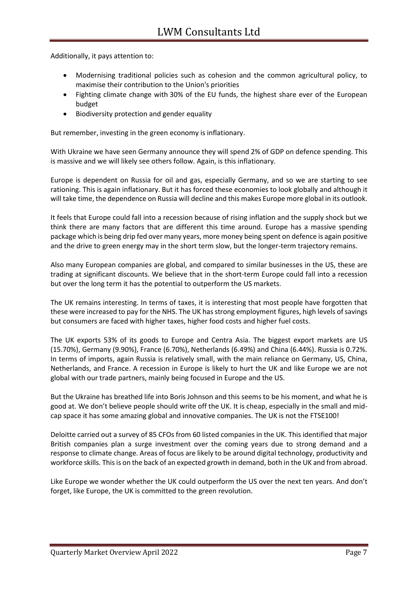Additionally, it pays attention to:

- Modernising traditional policies such as cohesion and the common agricultural policy, to maximise their contribution to the Union's priorities
- Fighting climate change with 30% of the EU funds, the highest share ever of the European budget
- Biodiversity protection and gender equality

But remember, investing in the green economy is inflationary.

With Ukraine we have seen Germany announce they will spend 2% of GDP on defence spending. This is massive and we will likely see others follow. Again, is this inflationary.

Europe is dependent on Russia for oil and gas, especially Germany, and so we are starting to see rationing. This is again inflationary. But it has forced these economies to look globally and although it will take time, the dependence on Russia will decline and this makes Europe more global in its outlook.

It feels that Europe could fall into a recession because of rising inflation and the supply shock but we think there are many factors that are different this time around. Europe has a massive spending package which is being drip fed over many years, more money being spent on defence is again positive and the drive to green energy may in the short term slow, but the longer-term trajectory remains.

Also many European companies are global, and compared to similar businesses in the US, these are trading at significant discounts. We believe that in the short-term Europe could fall into a recession but over the long term it has the potential to outperform the US markets.

The UK remains interesting. In terms of taxes, it is interesting that most people have forgotten that these were increased to pay for the NHS. The UK has strong employment figures, high levels of savings but consumers are faced with higher taxes, higher food costs and higher fuel costs.

The UK exports 53% of its goods to Europe and Centra Asia. The biggest export markets are US (15.70%), Germany (9.90%), France (6.70%), Netherlands (6.49%) and China (6.44%). Russia is 0.72%. In terms of imports, again Russia is relatively small, with the main reliance on Germany, US, China, Netherlands, and France. A recession in Europe is likely to hurt the UK and like Europe we are not global with our trade partners, mainly being focused in Europe and the US.

But the Ukraine has breathed life into Boris Johnson and this seems to be his moment, and what he is good at. We don't believe people should write off the UK. It is cheap, especially in the small and midcap space it has some amazing global and innovative companies. The UK is not the FTSE100!

Deloitte carried out a survey of 85 CFOs from 60 listed companies in the UK. This identified that major British companies plan a surge investment over the coming years due to strong demand and a response to climate change. Areas of focus are likely to be around digital technology, productivity and workforce skills. This is on the back of an expected growth in demand, both in the UK and from abroad.

Like Europe we wonder whether the UK could outperform the US over the next ten years. And don't forget, like Europe, the UK is committed to the green revolution.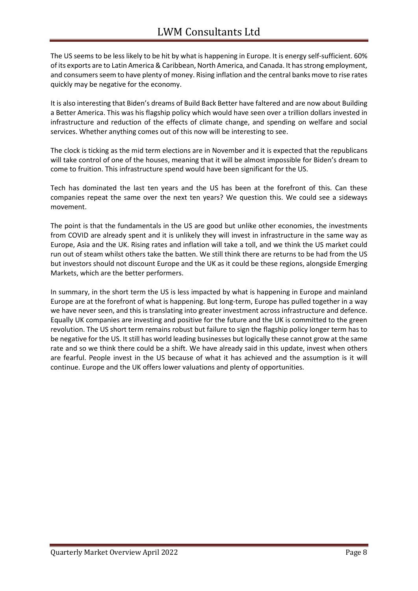The US seems to be less likely to be hit by what is happening in Europe. It is energy self-sufficient. 60% of its exports are to Latin America & Caribbean, North America, and Canada. It has strong employment, and consumers seem to have plenty of money. Rising inflation and the central banks move to rise rates quickly may be negative for the economy.

It is also interesting that Biden's dreams of Build Back Better have faltered and are now about Building a Better America. This was his flagship policy which would have seen over a trillion dollars invested in infrastructure and reduction of the effects of climate change, and spending on welfare and social services. Whether anything comes out of this now will be interesting to see.

The clock is ticking as the mid term elections are in November and it is expected that the republicans will take control of one of the houses, meaning that it will be almost impossible for Biden's dream to come to fruition. This infrastructure spend would have been significant for the US.

Tech has dominated the last ten years and the US has been at the forefront of this. Can these companies repeat the same over the next ten years? We question this. We could see a sideways movement.

The point is that the fundamentals in the US are good but unlike other economies, the investments from COVID are already spent and it is unlikely they will invest in infrastructure in the same way as Europe, Asia and the UK. Rising rates and inflation will take a toll, and we think the US market could run out of steam whilst others take the batten. We still think there are returns to be had from the US but investors should not discount Europe and the UK as it could be these regions, alongside Emerging Markets, which are the better performers.

In summary, in the short term the US is less impacted by what is happening in Europe and mainland Europe are at the forefront of what is happening. But long-term, Europe has pulled together in a way we have never seen, and this is translating into greater investment across infrastructure and defence. Equally UK companies are investing and positive for the future and the UK is committed to the green revolution. The US short term remains robust but failure to sign the flagship policy longer term has to be negative for the US. It still has world leading businesses but logically these cannot grow at the same rate and so we think there could be a shift. We have already said in this update, invest when others are fearful. People invest in the US because of what it has achieved and the assumption is it will continue. Europe and the UK offers lower valuations and plenty of opportunities.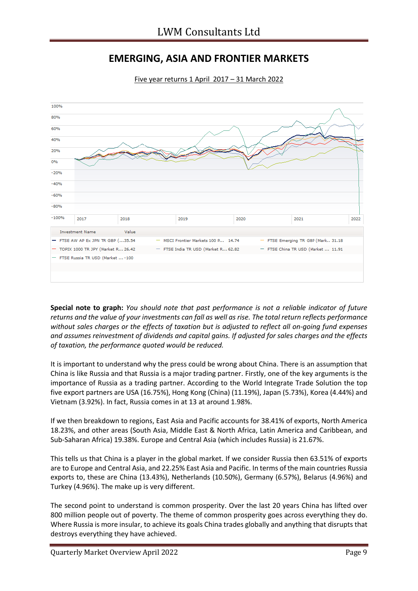# **EMERGING, ASIA AND FRONTIER MARKETS**



Five year returns 1 April 2017 – 31 March 2022

**Special note to graph:** *You should note that past performance is not a reliable indicator of future returns and the value of your investments can fall as well as rise. The total return reflects performance without sales charges or the effects of taxation but is adjusted to reflect all on-going fund expenses and assumes reinvestment of dividends and capital gains. If adjusted for sales charges and the effects of taxation, the performance quoted would be reduced.*

It is important to understand why the press could be wrong about China. There is an assumption that China is like Russia and that Russia is a major trading partner. Firstly, one of the key arguments is the importance of Russia as a trading partner. According to the World Integrate Trade Solution the top five export partners are USA (16.75%), Hong Kong (China) (11.19%), Japan (5.73%), Korea (4.44%) and Vietnam (3.92%). In fact, Russia comes in at 13 at around 1.98%.

If we then breakdown to regions, East Asia and Pacific accounts for 38.41% of exports, North America 18.23%, and other areas (South Asia, Middle East & North Africa, Latin America and Caribbean, and Sub-Saharan Africa) 19.38%. Europe and Central Asia (which includes Russia) is 21.67%.

This tells us that China is a player in the global market. If we consider Russia then 63.51% of exports are to Europe and Central Asia, and 22.25% East Asia and Pacific. In terms of the main countries Russia exports to, these are China (13.43%), Netherlands (10.50%), Germany (6.57%), Belarus (4.96%) and Turkey (4.96%). The make up is very different.

The second point to understand is common prosperity. Over the last 20 years China has lifted over 800 million people out of poverty. The theme of common prosperity goes across everything they do. Where Russia is more insular, to achieve its goals China trades globally and anything that disrupts that destroys everything they have achieved.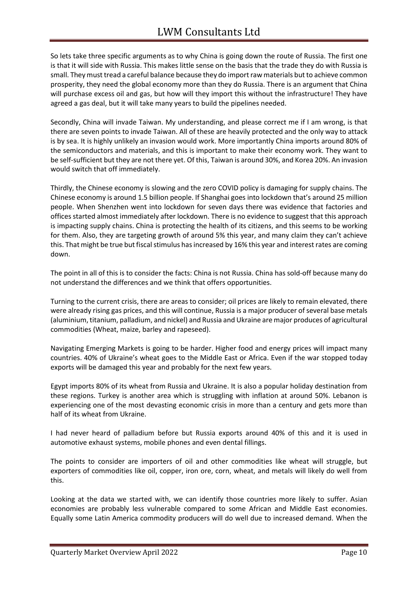So lets take three specific arguments as to why China is going down the route of Russia. The first one is that it will side with Russia. This makes little sense on the basis that the trade they do with Russia is small. They must tread a careful balance because they do import raw materials but to achieve common prosperity, they need the global economy more than they do Russia. There is an argument that China will purchase excess oil and gas, but how will they import this without the infrastructure! They have agreed a gas deal, but it will take many years to build the pipelines needed.

Secondly, China will invade Taiwan. My understanding, and please correct me if I am wrong, is that there are seven points to invade Taiwan. All of these are heavily protected and the only way to attack is by sea. It is highly unlikely an invasion would work. More importantly China imports around 80% of the semiconductors and materials, and this is important to make their economy work. They want to be self-sufficient but they are not there yet. Of this, Taiwan is around 30%, and Korea 20%. An invasion would switch that off immediately.

Thirdly, the Chinese economy is slowing and the zero COVID policy is damaging for supply chains. The Chinese economy is around 1.5 billion people. If Shanghai goes into lockdown that's around 25 million people. When Shenzhen went into lockdown for seven days there was evidence that factories and offices started almost immediately after lockdown. There is no evidence to suggest that this approach is impacting supply chains. China is protecting the health of its citizens, and this seems to be working for them. Also, they are targeting growth of around 5% this year, and many claim they can't achieve this. That might be true but fiscal stimulus has increased by 16% this year and interest rates are coming down.

The point in all of this is to consider the facts: China is not Russia. China has sold-off because many do not understand the differences and we think that offers opportunities.

Turning to the current crisis, there are areas to consider; oil prices are likely to remain elevated, there were already rising gas prices, and this will continue, Russia is a major producer of several base metals (aluminium, titanium, palladium, and nickel) and Russia and Ukraine are major produces of agricultural commodities (Wheat, maize, barley and rapeseed).

Navigating Emerging Markets is going to be harder. Higher food and energy prices will impact many countries. 40% of Ukraine's wheat goes to the Middle East or Africa. Even if the war stopped today exports will be damaged this year and probably for the next few years.

Egypt imports 80% of its wheat from Russia and Ukraine. It is also a popular holiday destination from these regions. Turkey is another area which is struggling with inflation at around 50%. Lebanon is experiencing one of the most devasting economic crisis in more than a century and gets more than half of its wheat from Ukraine.

I had never heard of palladium before but Russia exports around 40% of this and it is used in automotive exhaust systems, mobile phones and even dental fillings.

The points to consider are importers of oil and other commodities like wheat will struggle, but exporters of commodities like oil, copper, iron ore, corn, wheat, and metals will likely do well from this.

Looking at the data we started with, we can identify those countries more likely to suffer. Asian economies are probably less vulnerable compared to some African and Middle East economies. Equally some Latin America commodity producers will do well due to increased demand. When the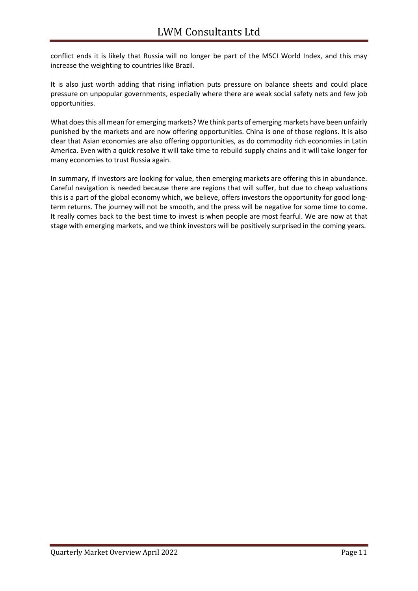conflict ends it is likely that Russia will no longer be part of the MSCI World Index, and this may increase the weighting to countries like Brazil.

It is also just worth adding that rising inflation puts pressure on balance sheets and could place pressure on unpopular governments, especially where there are weak social safety nets and few job opportunities.

What does this all mean for emerging markets? We think parts of emerging markets have been unfairly punished by the markets and are now offering opportunities. China is one of those regions. It is also clear that Asian economies are also offering opportunities, as do commodity rich economies in Latin America. Even with a quick resolve it will take time to rebuild supply chains and it will take longer for many economies to trust Russia again.

In summary, if investors are looking for value, then emerging markets are offering this in abundance. Careful navigation is needed because there are regions that will suffer, but due to cheap valuations this is a part of the global economy which, we believe, offers investors the opportunity for good longterm returns. The journey will not be smooth, and the press will be negative for some time to come. It really comes back to the best time to invest is when people are most fearful. We are now at that stage with emerging markets, and we think investors will be positively surprised in the coming years.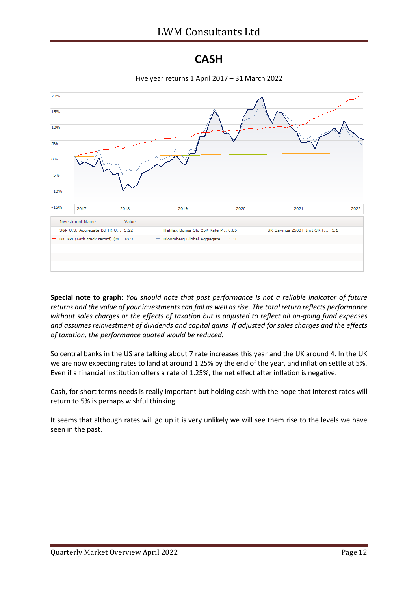#### **CASH**



**Special note to graph:** *You should note that past performance is not a reliable indicator of future returns and the value of your investments can fall as well as rise. The total return reflects performance without sales charges or the effects of taxation but is adjusted to reflect all on-going fund expenses and assumes reinvestment of dividends and capital gains. If adjusted for sales charges and the effects of taxation, the performance quoted would be reduced.*

So central banks in the US are talking about 7 rate increases this year and the UK around 4. In the UK we are now expecting rates to land at around 1.25% by the end of the year, and inflation settle at 5%. Even if a financial institution offers a rate of 1.25%, the net effect after inflation is negative.

Cash, for short terms needs is really important but holding cash with the hope that interest rates will return to 5% is perhaps wishful thinking.

It seems that although rates will go up it is very unlikely we will see them rise to the levels we have seen in the past.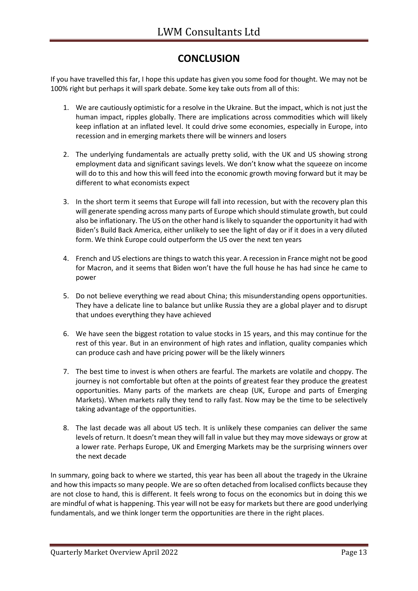### **CONCLUSION**

If you have travelled this far, I hope this update has given you some food for thought. We may not be 100% right but perhaps it will spark debate. Some key take outs from all of this:

- 1. We are cautiously optimistic for a resolve in the Ukraine. But the impact, which is not just the human impact, ripples globally. There are implications across commodities which will likely keep inflation at an inflated level. It could drive some economies, especially in Europe, into recession and in emerging markets there will be winners and losers
- 2. The underlying fundamentals are actually pretty solid, with the UK and US showing strong employment data and significant savings levels. We don't know what the squeeze on income will do to this and how this will feed into the economic growth moving forward but it may be different to what economists expect
- 3. In the short term it seems that Europe will fall into recession, but with the recovery plan this will generate spending across many parts of Europe which should stimulate growth, but could also be inflationary. The US on the other hand is likely to squander the opportunity it had with Biden's Build Back America, either unlikely to see the light of day or if it does in a very diluted form. We think Europe could outperform the US over the next ten years
- 4. French and US elections are things to watch this year. A recession in France might not be good for Macron, and it seems that Biden won't have the full house he has had since he came to power
- 5. Do not believe everything we read about China; this misunderstanding opens opportunities. They have a delicate line to balance but unlike Russia they are a global player and to disrupt that undoes everything they have achieved
- 6. We have seen the biggest rotation to value stocks in 15 years, and this may continue for the rest of this year. But in an environment of high rates and inflation, quality companies which can produce cash and have pricing power will be the likely winners
- 7. The best time to invest is when others are fearful. The markets are volatile and choppy. The journey is not comfortable but often at the points of greatest fear they produce the greatest opportunities. Many parts of the markets are cheap (UK, Europe and parts of Emerging Markets). When markets rally they tend to rally fast. Now may be the time to be selectively taking advantage of the opportunities.
- 8. The last decade was all about US tech. It is unlikely these companies can deliver the same levels of return. It doesn't mean they will fall in value but they may move sideways or grow at a lower rate. Perhaps Europe, UK and Emerging Markets may be the surprising winners over the next decade

In summary, going back to where we started, this year has been all about the tragedy in the Ukraine and how thisimpacts so many people. We are so often detached from localised conflicts because they are not close to hand, this is different. It feels wrong to focus on the economics but in doing this we are mindful of what is happening. This year will not be easy for markets but there are good underlying fundamentals, and we think longer term the opportunities are there in the right places.